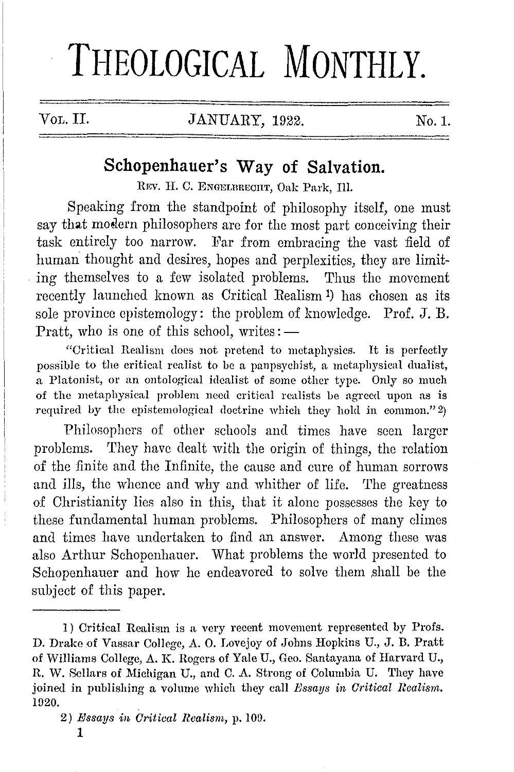# THEOLOGICAL MONTHLY.

# VoL. II. JANUARY, 1922. No.1.

# **Schopenhauer's Way of Salvation.**

REV. H. C. ENGELBRECHT, Oak Park, Ill.

Speaking from the standpoint of philosophy itself, one must say that modern philosophers are for the most part conceiving their task entirely too narrow. Far from embracing the vast field of human thought and desires, hopes and perplexities, they are limit- . ing themselves to a few isolated problems. Thus the movement recently launched known as Critical Realism 1) has chosen as its sole province epistemology: the problem of knowledge. Prof.  $J. B.$ Pratt, who is one of this school, writes:  $-$ 

"Critical Realism docs not preteml to metaphysics. It is perfectly possible to the critical realist to be a panpsychist, a metaphysical dualist, a Platonist, or an ontological idealist of some other type. Only so much of the metaphysical problem need critical realists be agreed upon as is required by the epistemological doctrine which they hold in common."  $2)$ 

Philosophers of other schools and times have seen larger problems. They have dealt with the origin of things, the relation of the finite and the Infinite, the cause and cure of human sorrows and ills, the whence and why and whither of life. The greatness of Christianity lies also in this, that it alone possesses the key to these fundamental human problems. Philosophers of many climes and times have undertaken to find an answer. Among these was also Arthur Schopenhauer. What problems the world presented to Schopenhauer and how he endeavored to solve them shall be the subject of this paper.

I) Critical Realism is a very recent movement represented by Profs. D. Drake of Vassar College, A. 0. Lovejoy of Johns Hopkins U., J.B. Pratt of Williams College, A. K. Rogers of Yale U., Geo. Santayana of Harvard U., R. W. Sellars of Michigan U., and C. A. Strong of Columbia U. They have joined in publishing a volume which they call *Bssays in Critical Realism.*  1920.

<sup>2)</sup> *Essays in Critical Realism,* p. 100.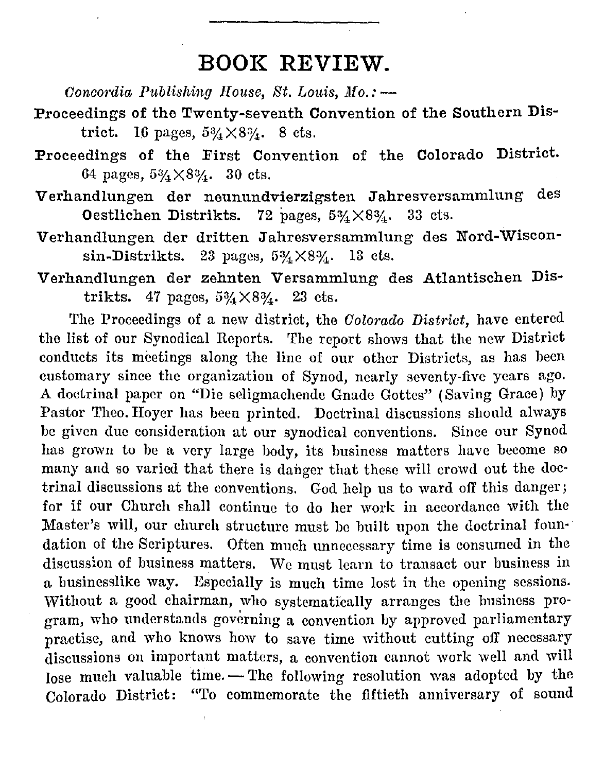# **BOOK REVIEW.**

*Concordia Publishing House, St. Louis, Mo.:* --

- Proceedings of the Twenty-seventh Convention of the Southern District. 16 pages,  $5\% \times 8\%$ . 8 cts.
- Proceedings of the First Convention of the Colorado District. 64 pages,  $5\frac{3}{4} \times 8\frac{3}{4}$ . 30 cts.
- Verhandlungen der neunundvierzigsten Jahresversammlung des Oestlichen Distrikts. 72 pages,  $5\frac{3}{4} \times 8\frac{3}{4}$ . 33 cts.
- Verhandlungen der dritten Jahresversammlung des Nord-Wisconsin-Distrikts. 23 pages,  $5\frac{3}{4}\times8\frac{3}{4}$ . 13 cts.
- Verhandlungen der zehnten Versammlung des Atlantischen Distrikts. 47 pages,  $5\frac{3}{4} \times 8\frac{3}{4}$ . 23 cts.

The Proceedings of a new district, the *Colorado District,* have entered the list of our Synodical Reports. The report shows that the new District conducts its meetings along the line of our other Districts, as has been customary since the organization of Synod, nearly seventy-five years ago. A doctrinal paper on "Die seligmachendc Gnade Gottes" (Saving Grace) by Pastor Theo. Hoyer has been printed. Doctrinal discussions should always be given due consideration at our synodical conventions. Since our Synod has grown to be a very large body, its business matters have become so many and so varied that there is danger that these will crowd out the doctrinal discussions at the conventions. God help us to ward off this danger; for if our Church shall continue to do her work in accordance with the Master's will, our church structure must be built upon the doctrinal foun· dation of the Scriptures. Often much unnecessary time is consumed in the discussion of business matters. We must learn to transact our business in a businesslike way. Especially is much time lost in the opening sessions. Without a good chairman, who systematically arranges the business program, who understands governing a convention by approved parliamentary practise, and who knows how to save time without cutting off necessary discussions on important matters, a convention cannot work well and will lose much valuable time. -- The following resolution was adopted by the Colorado District: "To commemorate the fiftieth anniversary of sound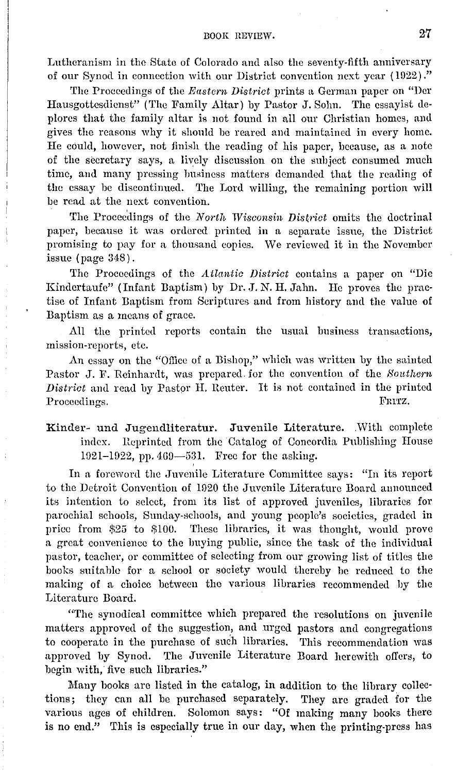#### BOOK REVIEW. 27

Lutheranism in the State of Colorndo and also the seventy-fifth anniversary of our Synod in connection with our District convention next year ( 1022) ."

The Proceedings of the *Eastern District* prints a German paper on "Der Hausgottesdienst" (The Family Altar) by Pastor J. Sohn. The essayist deplores that the family altar is not found in all our Christian homes, and gives the reasons why it should be reared and maintained in every home. Ile could, however, not finish the reading of his paper, because, as a note of the secretary says, a lively discussion on the subject consumed much time, and many pressing business matters demanded that the reading of the essay be discontinued. The Lord willing, the remaining portion will be read at the next convention.

The Proceedings of the *North Wisconsin District* omits the doctrinal paper, because it was ordered printed in a separate issue, the District promising to pay for a thousand copies. We reviewed it in the November issue ( page 348) .

The Proceedings of the *Litlantic District* contains a paper on "Die Kindertaufe" (Infant Baptism) by Dr. J. N. H. Jahn. He proves the practise of Infant Baptism from Scriptures and from history aml the value of Baptism as a means of grnce.

All the printed reports contain the usual business transactions, mission-reports, etc.

An essay on the "Office of a Bishop," which was written by the sainted Pastor J. F. Reinhardt, was prepared. for the convention of the *Bonthcrn District* and read by Pastor H. Reuter. It is not contained in the printed Proceedings. The contract of the contract of the contract of the contract of the contract of the contract of the contract of the contract of the contract of the contract of the contract of the contract of the contract of t

Kinder- und Jugendliteratur. Juvenile Literature. .With complete index. Reprinted from the Catalog of Concordia Publishing House 1921-1922, pp. 469-531. Free for the asking.

In a foreword the Juvenile Literature Committee says: "In its report to the Detroit Convention of 1920 the Juvenile Literature Board announced its intention to select, from its list of approved juveniles, libraries for parochial schools, Sunday-schools, and young people's societies, graded in price from \$25 to \$100. These libraries, it was thought, would prove a great convenience to the buying public, since the task of the individual pastor, teacher, or committee of selecting from our growing list of titles the books suitable for a school or society would thereby be reduced to the making of a choice between the various libraries recommended by the Literature Board.

"The synodical committee which prepared the resolutions on juvenile matters approved of the suggestion, and urged pastors and congregations to cooperate in the purchase of such libraries. This recommendation was approved by Synod. The Juvenile Literature Board herewith offers, to begin with, five such libraries."

Many books are listed in the catalog, in addition to the library collections; they can all be purchased separately. They are graded for the various ages of children. Solomon says: "Of making many books there is no end." This is especially true in our day, when the printing-press has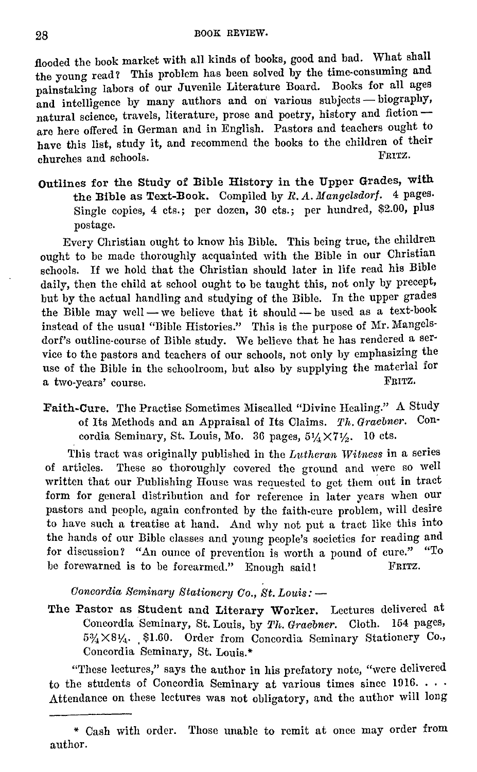flooded the book market with all kinds of books, good and bad. What shall the young read? This problem has been solved by the time-consuming and painstaking labors of our Juvenile Literature Board. Books for all ages and intelligence by many authors and on various subjects - biography, natural science, travels, literature, prose and poetry, history and fiction are here offered in German and in English. Pastors and teachers ought to have this list, study it, and recommend the books to the children of their<br>have this list, study it, and recommend the books to the children of their churches and schools.

Outlines for the Study of Bible History in the Upper Grades, with the Bible as Text-Book. Compiled by *R. A. Mangclsdorf.* 4 pages. Single copies, 4 cts.; per dozen, 30 cts.; per hundred, \$2.00, plus postage.

Every Christian ought to know his Bible. This being true, the children ought to be made thoroughly acquainted with the Bible in our Christian schools. If we hold that the Christian should later in life read his Bible daily, then the child at school ought to be taught this, not only by precept, but by the actual handling and studying of the Bible. In the upper grades the Bible may well - we believe that it should - be used as a text-book instead of the usual "Bible Histories." This is the purpose of Mr. Mangelsdorf's outline-course of Bible study. We believe that he has rendered a ser· vice to the pastors and teachers of our schools, not only by emphasizing the use of the Bible in the schoolroom, but also by supplying the material for a two-years' course a two-years' course.

Faith-Cure. The Practise Sometimes Miscalled "Divine Healing." A Study of Its Methods and an Appraisal of Its Claims. *Th. Gracbner.* Con· cordia Seminary, St. Louis, Mo. 36 pages,  $5\frac{1}{4}\times7\frac{1}{2}$ . 10 cts.

This tract was originally published in the *Lutheran Witness* in a series of articles. These so thoroughly covered the ground and were so well written that our Publishing House was requested to get them out in tract form for general distribution and for reference in later years when our pastors and people, again confronted by the faith-cure problem, will desire to have such a treatise at hand. And why not put a tract like this into the hands of our Bible classes and young people's societies for reading and for discussion? "An ounce of prevention is worth a pound of cure." "To he forewarned is to he forearmed." Enough said! FRITZ.

*Concordia Seminary Stationery Co., St. Louis:* -

The Pastor as Student and Literary Worker. Lectures delivered at Concordia Seminary, St. Louis, by *Th. Gracbner.* Cloth. 154 pages,  $5\frac{3}{4} \times 8\frac{1}{4}$ . \$1.60. Order from Concordia Seminary Stationery Co., Concordia Seminary, St. Louis.\*

"These lectures," says the author in his prefatory note, "were delivered to the students of Concordia Seminary at various times since  $1916. \ldots$ Attendance on these lectures was not obligatory, and the author will long

<sup>\*</sup> Cash with order. Those unable to remit at once may order from author.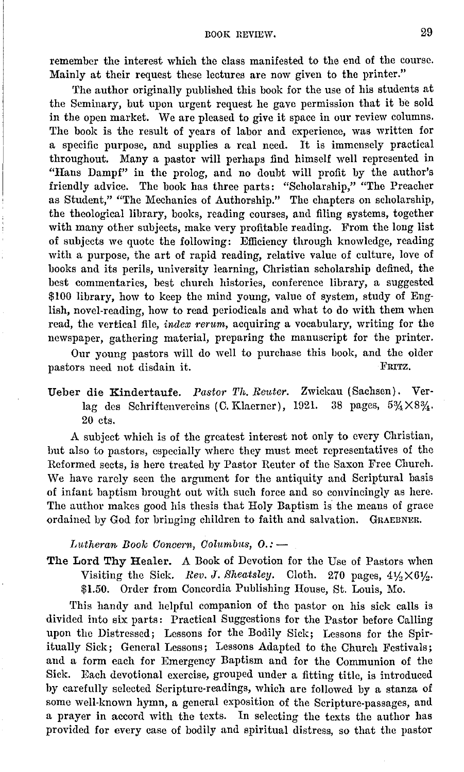remember the interest which the class manifested to the end of the course. Mainly at their request these lectures are now given to the printer."

The author originally published this book for the use of his students at the Seminary, but upon urgent request he gave permission that it be sold in the open market. We are pleased to give it space in our review columns. The book is the result of years of labor and experience, was written for a specific purpose, and supplies a real need. It is immensely practical throughout. Many a pastor will perhaps find himself well represented in "Hans Dampf" in the prolog, and no doubt will profit by the author's friendly advice. The book has three parts: "Scholarship," "The Preacher as Student," "The Mechanics of Authorship." The chapters on scholarship, the theological library, books, reading courses, and filing systems, together with many other subjects, make very profitable reading. From the long list of subjects we quote the following: Efficiency through knowledge, reading with a purpose, the art of rapid reading, relative value of culture, love of books and its perils, university learning, Christian scholarship defined, the best commentaries, best church histories, conference library, a suggested \$100 library, how to keep the mind young, value of system, study of English, novel-reading, how to read periodicals and what to do with them when read, the vertical file, *index rerum*, acquiring a vocabulary, writing for the newspaper, gathering material, preparing the manuscript for the printer.

Our young pastors will do well to purchase this book, and the older<br>ors need not disdain it. pastors need not disdain it.

Ueber die Kindertaufe. *Pastor Th. Reitter.* Zwickau (Sachsen). Verlag des Schriftenvereins (C. Klaerner), 1921. 20 cts.

A subject which is of the greatest interest not only to every Christian, but also to pastors, especially where they must meet representatives of the Reformed sects, is here treated by Pastor Reuter of the Saxon Free Church. We have rarely seen the argument for the antiquity and Scriptural basis of infant baptism brought out with such force and so convincingly as here. The author makes good his thesis that Holy Baptism is the means of grace ordained by God for bringing children to faith and salvation. GRAEBNER.

*Lutheran Book Concern, Columbus, O.:* -

The Lord Thy Healer. A Book of Devotion for the Use of Pastors when Visiting the Sick. *Rev. J. Sheatsley.* Cloth. 270 pages,  $4\frac{1}{2} \times 6\frac{1}{2}$ . \$1.50. Order from Concordia Publishing House, St. Louis, Mo.

This handy and helpful companion of the pastor on his sick calls is divided into six parts: Practical Suggestions for the Pastor before Calling upon the Distressed; Lessons for the Bodily Sick; Lessons for the Spiritually Sick; General Lessons; Lessons Adapted to the Church Festivals; and a form each for Emergency Baptism and for the Communion of the Sick. Each devotional exercise, grouped under a fitting title, is introduced by carefully selected Scripture-readings, which are followed by a stanza of some well-known hymn, a general exposition of the Scripture-passages, and a prayer in accord with the texts. In selecting the texts the author has provided for every case of bodily and spiritual distress, so that the pastor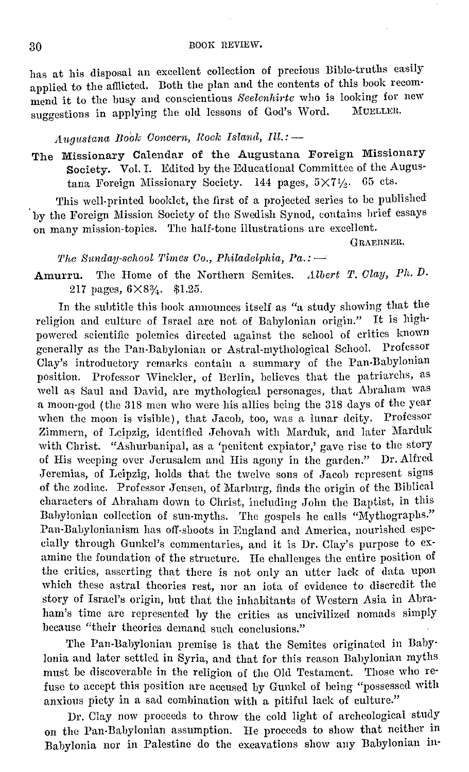has at his disposal an excellent collection of precious Bible-truths easily applied to the afflicted. Both the plan and the contents of this book recommend it to the busy and conscientious *Seelenhirte* who is looking for new suggestions in applying the old lessons of God's Word.

## *A.iigustana Book Ooneern, Roelc faland, Ill.:* -

The Missionary Calendar of the Augustana Foreign Missionary Society. Vol. I. Edited by the Educational Committee of the Augustana Foreign Missionary Society. 144 pages,  $5 \times 74$ . 65 cts.

This well-printed booklet, the first of a projected series to be published · by the Foreign Mission Society of the Swedish Synod, contains brief essays on many mission-topics. The half-tone illustrations arc excellent.

GRAEBNER,

*The Sunday-school Times Co., Philadelphia, Pa.:*-

**Amurru.** The Home of the Northern Semites. *Ltlbert* T. *Olay, Ph.D.*  217 pages,  $6 \times 8\frac{3}{4}$ . \$1.25.

In the subtitle this book announces itself as "a study showing that the religion and culture of Israel are not of Babylonian origin." It is highpowered scientific polemics directed against the school of critics known generally as the Pan-Babylonian or Astral-mythological School. Professor Clay's introductory remarks contain a summary of the Pan-Babylonian position. Professor Winckler, of Berlin, believes that the patriarchs, as well as Saul and David, are mythological personages, that Abraham was a moon-god (the 318 men who were his allies being the 318 days of the year when the moon is visible), that Jacob, too, was a lunar deity. Professor Zimmern, of Leipzig, identified Jehovah with Marduk, and later Marduk with Christ. "Ashurbanipal, as a 'penitent expiator,' gave rise to the story of His weeping over Jerusalem and His agony in the garden." Dr. Alfred Jeremias, of Leipzig, holds that the twelve sons of Jacob represent signs of the zodiac. Professor Jensen, of Marburg, finds the origin of the Biblical characters of Abraham down to Christ, including John the Baptist, in this Babylonian collection of sun-myths. The gospels he calls "Mythographs." Pan-Babylonianism has off-shoots in Rngland and America, nourished especially through Gunkcl's commentaries, and it is Dr. Clay's purpose to examine the foundation of the structure. He challenges the entire position of the critics, asserting that there is not only an utter lack of data upon which these astral theories rest, nor an iota of evidence to discredit the story of Isracl'8 origin, but that the inhabitants of Western Asia in Abraham's time arc represented by the critics as uncivilized nomads simply because "their theories demand such conclusions."

The Pan-Babylonian premise is that the Semites originated in Baby· Ionia and later settled in Syria, and that for this reason Bahylonian myths must be discoverable in the religion of the Old Testament. Those who refuse to accept this position are accused by Gunkel of being "possessed with anxious piety in a sad combination with a pitiful lack of culture."

Dr. Clay now proceeds to throw the cold light of archcological study on the Pan-Babylonian assumption. Ile proceeds to show that neither in Babylonia nor in Palestine do the excavations show any Babylonian in-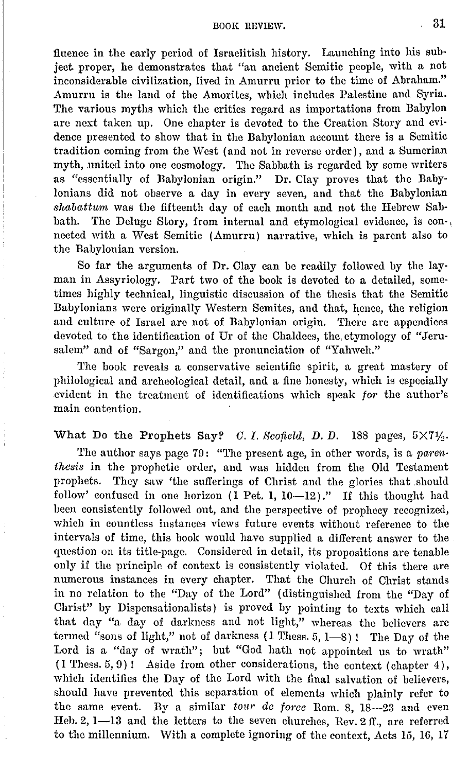## $1800K$  REVIEW.  $31$

fiuence in the early period of Israelitish history. Launching into his subject proper, he demonstrates that "an ancient Semitic people, with a not inconsiderable civilization, lived in Amurru prior to the time of Abraham." Amurru is the land of the Amorites, which includes Palestine and Syria. The various myths which the critics regard as importations from Babylon arc next taken up. One chapter is devoted to the Creation Story and evidence presented to show that in the Babylonian account there is a Semitic tradition coming from the West ( and not in reverse order), and a Sumerian myth, united into one cosmology. The Sabbath is regarded by some writers as "essentially of Babylonian origin." Dr. Clay proves that the Babylonians did not observe a day in every seven, and that the Babylonian *shabattwrn* was the fifteenth day of each month and not the Hebrew Sabbath. The Deluge Story, from internal and etymological evidence, is con-, nected with a West Semitic (Amurru) narrative, which is parent also to the Babylonian version.

So far the arguments of Dr. Clay can be readily followed by the layman in Assyriology. Part two of the book is devoted to a detailed, sometimes highly technical, linguistic discussion of the thesis that the Semitic Babylonians were originally Western Semites, and that, hence, the religion and culture of Israel are not of Babylonian origin. There are appendices devoted to the identification of Ur of the Chaldees, the, etymology of "Jerusalem" and of "Sargon," and the pronunciation of "Yahweh."

The book reveals a conservative scientific spirit, a great mastery of philological and archeological detail, and a fine honesty, which is especially evident in the treatment of identifications which speak *for* the author's main contention.

## What Do the Prophets Say? *C. I. Scofield, D. D.* 188 pages,  $5 \times 7\frac{1}{2}$ .

The author says page 79: "The present age, in other words, is a *parenthesis* **in** the prophetic order, and was hidden from the Old Testament prophets. They saw 'the sufferings of Christ and the glories that should follow' confused in one horizon (1 Pet. 1, 10-12)." If this thought had been consistently followed out, and the perspective of prophecy recognized, which in countless instances views future events without reference to the intervals of time, this book would have supplied a different answer to the question on its title-page. Considered in detail, its propositions arc tenable only if the principle of context is consistently violated. Of this there are numerous instances in every chapter. That the Church of Christ stands in no relation to the "Day of the Lord" ( distinguished from the "Day of Christ" by Dispensationalists) is proved by pointing to texts which call that day "a day of darkness and not light," whereas the believers are termed "sons of light," not of darkness (1 Thess. 5, 1-8)! The Day of the Lord is a "day of wrath"; but "God hath not appointed us to wrath"  $(1$  Thess.  $5, 9)$ ! Aside from other considerations, the context (chapter 4), which identifies the Day of the Lord with the final salvation of believers, should have prevented this separation of clements which plainly refer to the same event. By a similar tour de force Rom. 8, 18-23 and even Heh. 2, 1-13 and the letters to the seven churches, Rev. 2 II., are referred to the millennium. With a complete ignoring of the context, Acts 15, 16, 17